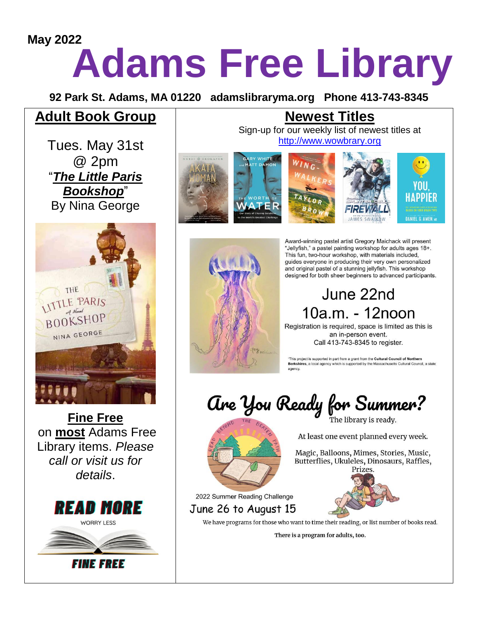# **Adams Free Library May 2022**

**92 Park St. Adams, MA 01220 adamslibraryma.org Phone 413-743-8345**

# **Adult Book Group**

Tues. May 31st @ 2pm "*The Little Paris Bookshop*" By Nina George



**Fine Free** on **most** Adams Free Library items. *Please call or visit us for details*.



# **Newest Titles**

Sign-up for our weekly list of newest titles at [http://www.wowbrary.org](http://www.wowbrary.org/)





Award-winning pastel artist Gregory Maichack will present "Jellyfish," a pastel painting workshop for adults ages 18+. This fun, two-hour workshop, with materials included, guides everyone in producing their very own personalized and original pastel of a stunning jellyfish. This workshop designed for both sheer beginners to advanced participants.

# June 22nd 10a.m. - 12noon

Registration is required, space is limited as this is an in-person event. Call 413-743-8345 to register.

"This project is supported in part from a grant from the Cultural Council of Northern Berkshires, a local agency which is supported by the Massachusetts Cultural Council, a state

Are You Ready for Summer?



2022 Summer Reading Challenge

June 26 to August 15

At least one event planned every week.

Magic, Balloons, Mimes, Stories, Music, Butterflies, Ukuleles, Dinosaurs, Raffles,



We have programs for those who want to time their reading, or list number of books read.

There is a program for adults, too.